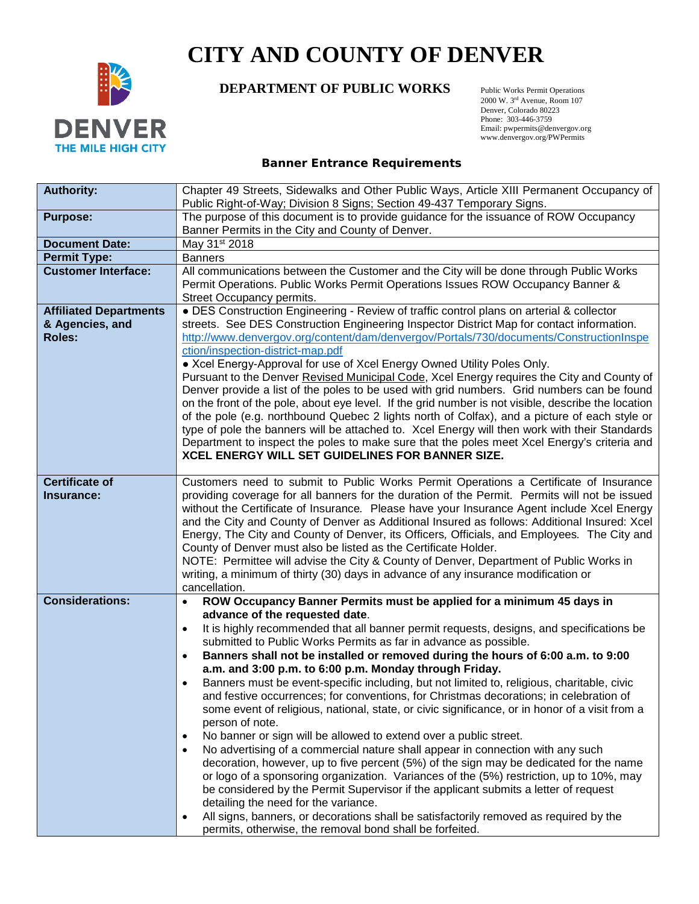

## **CITY AND COUNTY OF DENVER**

## **DEPARTMENT OF PUBLIC WORKS** Public Works Permit Operations

 2000 W. 3rd Avenue, Room 107 Denver, Colorado 80223 Phone: 303-446-3759 Email: pwpermits@denvergov.org www.denvergov.org/PWPermits

## **Banner Entrance Requirements**

| <b>Authority:</b>             | Chapter 49 Streets, Sidewalks and Other Public Ways, Article XIII Permanent Occupancy of<br>Public Right-of-Way; Division 8 Signs; Section 49-437 Temporary Signs.                                                                                                                          |  |  |  |  |
|-------------------------------|---------------------------------------------------------------------------------------------------------------------------------------------------------------------------------------------------------------------------------------------------------------------------------------------|--|--|--|--|
| <b>Purpose:</b>               | The purpose of this document is to provide guidance for the issuance of ROW Occupancy                                                                                                                                                                                                       |  |  |  |  |
|                               | Banner Permits in the City and County of Denver.                                                                                                                                                                                                                                            |  |  |  |  |
| <b>Document Date:</b>         | May 31st 2018                                                                                                                                                                                                                                                                               |  |  |  |  |
| <b>Permit Type:</b>           | <b>Banners</b>                                                                                                                                                                                                                                                                              |  |  |  |  |
| <b>Customer Interface:</b>    | All communications between the Customer and the City will be done through Public Works<br>Permit Operations. Public Works Permit Operations Issues ROW Occupancy Banner &<br>Street Occupancy permits.                                                                                      |  |  |  |  |
| <b>Affiliated Departments</b> | • DES Construction Engineering - Review of traffic control plans on arterial & collector                                                                                                                                                                                                    |  |  |  |  |
| & Agencies, and               | streets. See DES Construction Engineering Inspector District Map for contact information.                                                                                                                                                                                                   |  |  |  |  |
| <b>Roles:</b>                 | http://www.denvergov.org/content/dam/denvergov/Portals/730/documents/ConstructionInspe                                                                                                                                                                                                      |  |  |  |  |
|                               | ction/inspection-district-map.pdf<br>• Xcel Energy-Approval for use of Xcel Energy Owned Utility Poles Only.                                                                                                                                                                                |  |  |  |  |
|                               | Pursuant to the Denver Revised Municipal Code, Xcel Energy requires the City and County of                                                                                                                                                                                                  |  |  |  |  |
|                               | Denver provide a list of the poles to be used with grid numbers. Grid numbers can be found                                                                                                                                                                                                  |  |  |  |  |
|                               | on the front of the pole, about eye level. If the grid number is not visible, describe the location                                                                                                                                                                                         |  |  |  |  |
|                               | of the pole (e.g. northbound Quebec 2 lights north of Colfax), and a picture of each style or                                                                                                                                                                                               |  |  |  |  |
|                               | type of pole the banners will be attached to. Xcel Energy will then work with their Standards                                                                                                                                                                                               |  |  |  |  |
|                               | Department to inspect the poles to make sure that the poles meet Xcel Energy's criteria and                                                                                                                                                                                                 |  |  |  |  |
|                               | XCEL ENERGY WILL SET GUIDELINES FOR BANNER SIZE.                                                                                                                                                                                                                                            |  |  |  |  |
| <b>Certificate of</b>         | Customers need to submit to Public Works Permit Operations a Certificate of Insurance                                                                                                                                                                                                       |  |  |  |  |
| Insurance:                    | providing coverage for all banners for the duration of the Permit. Permits will not be issued<br>without the Certificate of Insurance. Please have your Insurance Agent include Xcel Energy<br>and the City and County of Denver as Additional Insured as follows: Additional Insured: Xcel |  |  |  |  |
|                               |                                                                                                                                                                                                                                                                                             |  |  |  |  |
|                               |                                                                                                                                                                                                                                                                                             |  |  |  |  |
|                               | Energy, The City and County of Denver, its Officers, Officials, and Employees. The City and                                                                                                                                                                                                 |  |  |  |  |
|                               | County of Denver must also be listed as the Certificate Holder.                                                                                                                                                                                                                             |  |  |  |  |
|                               | NOTE: Permittee will advise the City & County of Denver, Department of Public Works in                                                                                                                                                                                                      |  |  |  |  |
|                               | writing, a minimum of thirty (30) days in advance of any insurance modification or<br>cancellation.                                                                                                                                                                                         |  |  |  |  |
| <b>Considerations:</b>        | ROW Occupancy Banner Permits must be applied for a minimum 45 days in<br>$\bullet$                                                                                                                                                                                                          |  |  |  |  |
|                               | advance of the requested date.                                                                                                                                                                                                                                                              |  |  |  |  |
|                               | It is highly recommended that all banner permit requests, designs, and specifications be<br>$\bullet$                                                                                                                                                                                       |  |  |  |  |
|                               | submitted to Public Works Permits as far in advance as possible.                                                                                                                                                                                                                            |  |  |  |  |
|                               | Banners shall not be installed or removed during the hours of 6:00 a.m. to 9:00<br>$\bullet$                                                                                                                                                                                                |  |  |  |  |
|                               | a.m. and 3:00 p.m. to 6:00 p.m. Monday through Friday.                                                                                                                                                                                                                                      |  |  |  |  |
|                               | Banners must be event-specific including, but not limited to, religious, charitable, civic<br>and festive occurrences; for conventions, for Christmas decorations; in celebration of                                                                                                        |  |  |  |  |
|                               | some event of religious, national, state, or civic significance, or in honor of a visit from a                                                                                                                                                                                              |  |  |  |  |
|                               | person of note.                                                                                                                                                                                                                                                                             |  |  |  |  |
|                               | No banner or sign will be allowed to extend over a public street.<br>$\bullet$                                                                                                                                                                                                              |  |  |  |  |
|                               | No advertising of a commercial nature shall appear in connection with any such<br>$\bullet$                                                                                                                                                                                                 |  |  |  |  |
|                               | decoration, however, up to five percent (5%) of the sign may be dedicated for the name                                                                                                                                                                                                      |  |  |  |  |
|                               | or logo of a sponsoring organization. Variances of the (5%) restriction, up to 10%, may                                                                                                                                                                                                     |  |  |  |  |
|                               | be considered by the Permit Supervisor if the applicant submits a letter of request                                                                                                                                                                                                         |  |  |  |  |
|                               | detailing the need for the variance.                                                                                                                                                                                                                                                        |  |  |  |  |
|                               | All signs, banners, or decorations shall be satisfactorily removed as required by the<br>permits, otherwise, the removal bond shall be forfeited.                                                                                                                                           |  |  |  |  |
|                               |                                                                                                                                                                                                                                                                                             |  |  |  |  |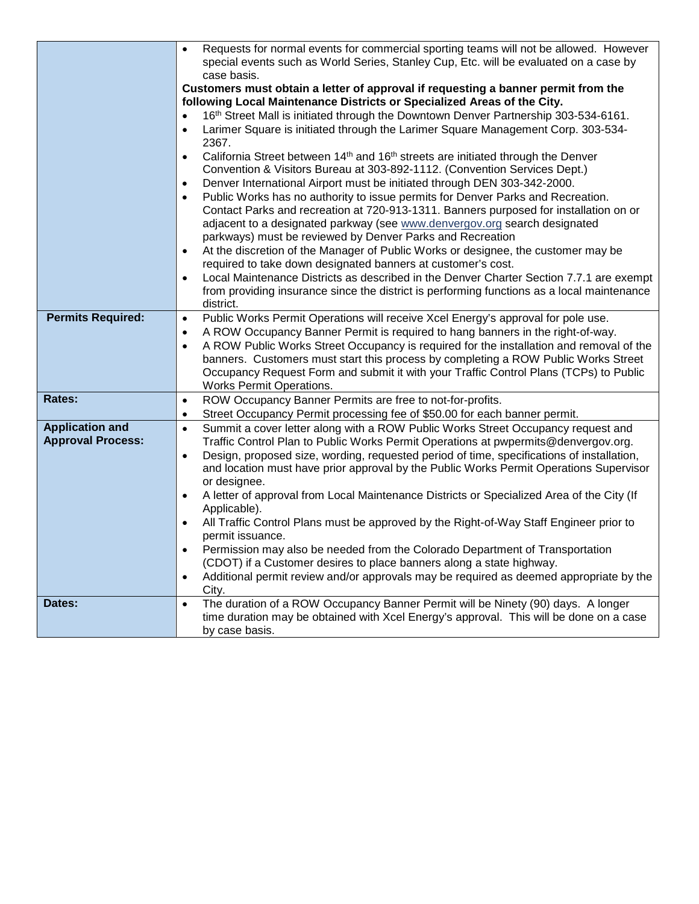|                                                    | Requests for normal events for commercial sporting teams will not be allowed. However<br>special events such as World Series, Stanley Cup, Etc. will be evaluated on a case by<br>case basis.                                                                                                                                                                                                                                                                                                                   |  |  |  |  |  |
|----------------------------------------------------|-----------------------------------------------------------------------------------------------------------------------------------------------------------------------------------------------------------------------------------------------------------------------------------------------------------------------------------------------------------------------------------------------------------------------------------------------------------------------------------------------------------------|--|--|--|--|--|
|                                                    | Customers must obtain a letter of approval if requesting a banner permit from the<br>following Local Maintenance Districts or Specialized Areas of the City.                                                                                                                                                                                                                                                                                                                                                    |  |  |  |  |  |
|                                                    | 16th Street Mall is initiated through the Downtown Denver Partnership 303-534-6161.<br>$\bullet$<br>Larimer Square is initiated through the Larimer Square Management Corp. 303-534-<br>$\bullet$<br>2367.                                                                                                                                                                                                                                                                                                      |  |  |  |  |  |
|                                                    | California Street between 14 <sup>th</sup> and 16 <sup>th</sup> streets are initiated through the Denver<br>$\bullet$<br>Convention & Visitors Bureau at 303-892-1112. (Convention Services Dept.)                                                                                                                                                                                                                                                                                                              |  |  |  |  |  |
|                                                    | Denver International Airport must be initiated through DEN 303-342-2000.<br>Public Works has no authority to issue permits for Denver Parks and Recreation.<br>$\bullet$<br>Contact Parks and recreation at 720-913-1311. Banners purposed for installation on or<br>adjacent to a designated parkway (see www.denvergov.org search designated<br>parkways) must be reviewed by Denver Parks and Recreation                                                                                                     |  |  |  |  |  |
|                                                    | At the discretion of the Manager of Public Works or designee, the customer may be<br>$\bullet$<br>required to take down designated banners at customer's cost.<br>Local Maintenance Districts as described in the Denver Charter Section 7.7.1 are exempt<br>$\bullet$<br>from providing insurance since the district is performing functions as a local maintenance                                                                                                                                            |  |  |  |  |  |
|                                                    | district.                                                                                                                                                                                                                                                                                                                                                                                                                                                                                                       |  |  |  |  |  |
| <b>Permits Required:</b>                           | Public Works Permit Operations will receive Xcel Energy's approval for pole use.<br>$\bullet$<br>A ROW Occupancy Banner Permit is required to hang banners in the right-of-way.<br>$\bullet$<br>A ROW Public Works Street Occupancy is required for the installation and removal of the<br>$\bullet$<br>banners. Customers must start this process by completing a ROW Public Works Street<br>Occupancy Request Form and submit it with your Traffic Control Plans (TCPs) to Public<br>Works Permit Operations. |  |  |  |  |  |
| Rates:                                             | ROW Occupancy Banner Permits are free to not-for-profits.<br>$\bullet$                                                                                                                                                                                                                                                                                                                                                                                                                                          |  |  |  |  |  |
|                                                    | Street Occupancy Permit processing fee of \$50.00 for each banner permit.<br>$\bullet$                                                                                                                                                                                                                                                                                                                                                                                                                          |  |  |  |  |  |
| <b>Application and</b><br><b>Approval Process:</b> | Summit a cover letter along with a ROW Public Works Street Occupancy request and<br>$\bullet$<br>Traffic Control Plan to Public Works Permit Operations at pwpermits@denvergov.org.<br>Design, proposed size, wording, requested period of time, specifications of installation,<br>and location must have prior approval by the Public Works Permit Operations Supervisor<br>or designee.<br>A letter of approval from Local Maintenance Districts or Specialized Area of the City (If<br>$\bullet$            |  |  |  |  |  |
|                                                    | Applicable).<br>All Traffic Control Plans must be approved by the Right-of-Way Staff Engineer prior to<br>$\bullet$                                                                                                                                                                                                                                                                                                                                                                                             |  |  |  |  |  |
|                                                    | permit issuance.<br>Permission may also be needed from the Colorado Department of Transportation<br>(CDOT) if a Customer desires to place banners along a state highway.<br>Additional permit review and/or approvals may be required as deemed appropriate by the<br>$\bullet$<br>City.                                                                                                                                                                                                                        |  |  |  |  |  |
| Dates:                                             | The duration of a ROW Occupancy Banner Permit will be Ninety (90) days. A longer<br>$\bullet$<br>time duration may be obtained with Xcel Energy's approval. This will be done on a case<br>by case basis.                                                                                                                                                                                                                                                                                                       |  |  |  |  |  |